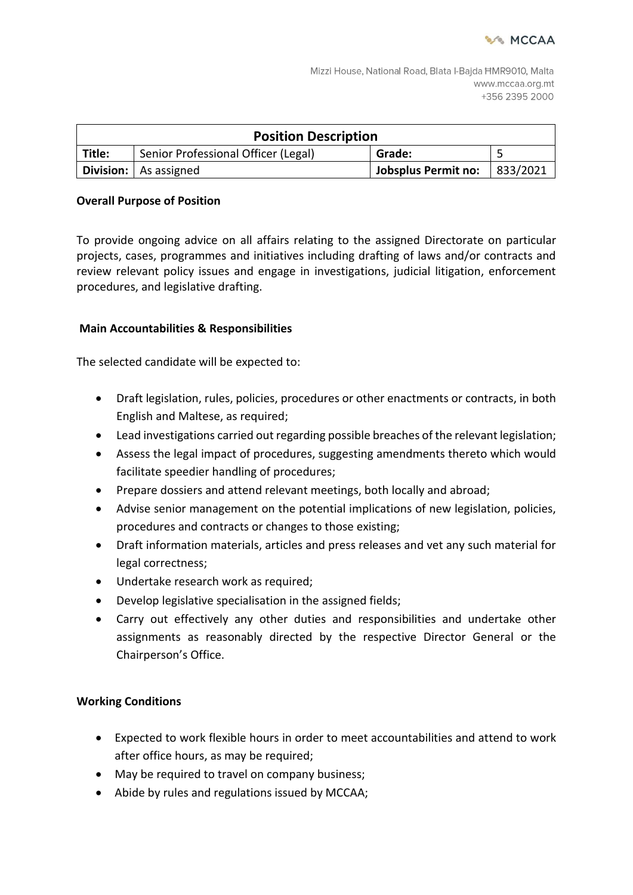

| <b>Position Description</b> |                                     |                     |          |
|-----------------------------|-------------------------------------|---------------------|----------|
| Title:                      | Senior Professional Officer (Legal) | Grade:              |          |
|                             | <b>Division:</b> As assigned        | Jobsplus Permit no: | 833/2021 |

### **Overall Purpose of Position**

To provide ongoing advice on all affairs relating to the assigned Directorate on particular projects, cases, programmes and initiatives including drafting of laws and/or contracts and review relevant policy issues and engage in investigations, judicial litigation, enforcement procedures, and legislative drafting.

## **Main Accountabilities & Responsibilities**

The selected candidate will be expected to:

- Draft legislation, rules, policies, procedures or other enactments or contracts, in both English and Maltese, as required;
- Lead investigations carried out regarding possible breaches of the relevant legislation;
- Assess the legal impact of procedures, suggesting amendments thereto which would facilitate speedier handling of procedures;
- Prepare dossiers and attend relevant meetings, both locally and abroad;
- Advise senior management on the potential implications of new legislation, policies, procedures and contracts or changes to those existing;
- Draft information materials, articles and press releases and vet any such material for legal correctness;
- Undertake research work as required;
- Develop legislative specialisation in the assigned fields;
- Carry out effectively any other duties and responsibilities and undertake other assignments as reasonably directed by the respective Director General or the Chairperson's Office.

## **Working Conditions**

- Expected to work flexible hours in order to meet accountabilities and attend to work after office hours, as may be required;
- May be required to travel on company business;
- Abide by rules and regulations issued by MCCAA;